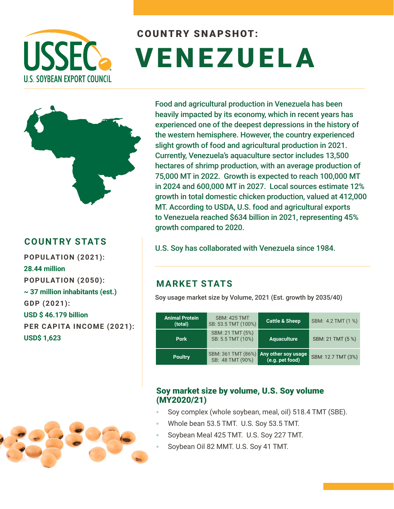

# COUNTRY SNAPSHOT: VENEZUELA



# **COUNTRY STATS**

**POPULATION (2021): 28.44 million POPULATION (2050): ~ 37 million inhabitants (est.) GDP (2021): USD \$ 46.179 billion PER CAPITA INCOME (2021): USD\$ 1,623**

Food and agricultural production in Venezuela has been heavily impacted by its economy, which in recent years has experienced one of the deepest depressions in the history of the western hemisphere. However, the country experienced slight growth of food and agricultural production in 2021. Currently, Venezuela's aquaculture sector includes 13,500 hectares of shrimp production, with an average production of 75,000 MT in 2022. Growth is expected to reach 100,000 MT in 2024 and 600,000 MT in 2027. Local sources estimate 12% growth in total domestic chicken production, valued at 412,000 MT. According to USDA, U.S. food and agricultural exports to Venezuela reached \$634 billion in 2021, representing 45% growth compared to 2020.

U.S. Soy has collaborated with Venezuela since 1984.

## **MARKET STATS**

Soy usage market size by Volume, 2021 (Est. growth by 2035/40)

| <b>Animal Protein</b><br>(total) | <b>SBM: 425 TMT</b><br>SB: 53.5 TMT (100%) | <b>Cattle &amp; Sheep</b>              | SBM: 4.2 TMT (1 %) |
|----------------------------------|--------------------------------------------|----------------------------------------|--------------------|
| <b>Pork</b>                      | SBM: 21 TMT (5%)<br>SB: 5.5 TMT (10%)      | <b>Aquaculture</b>                     | SBM: 21 TMT (5 %)  |
| <b>Poultry</b>                   | SBM: 361 TMT (86%)<br>SB: 48 TMT (90%)     | Any other soy usage<br>(e.g. pet food) | SBM: 12.7 TMT (3%) |

### Soy market size by volume, U.S. Soy volume (MY2020/21)

- Soy complex (whole soybean, meal, oil) 518.4 TMT (SBE).
- Whole bean 53.5 TMT. U.S. Soy 53.5 TMT.
- Soybean Meal 425 TMT. U.S. Soy 227 TMT.
- Soybean Oil 82 MMT. U.S. Soy 41 TMT.